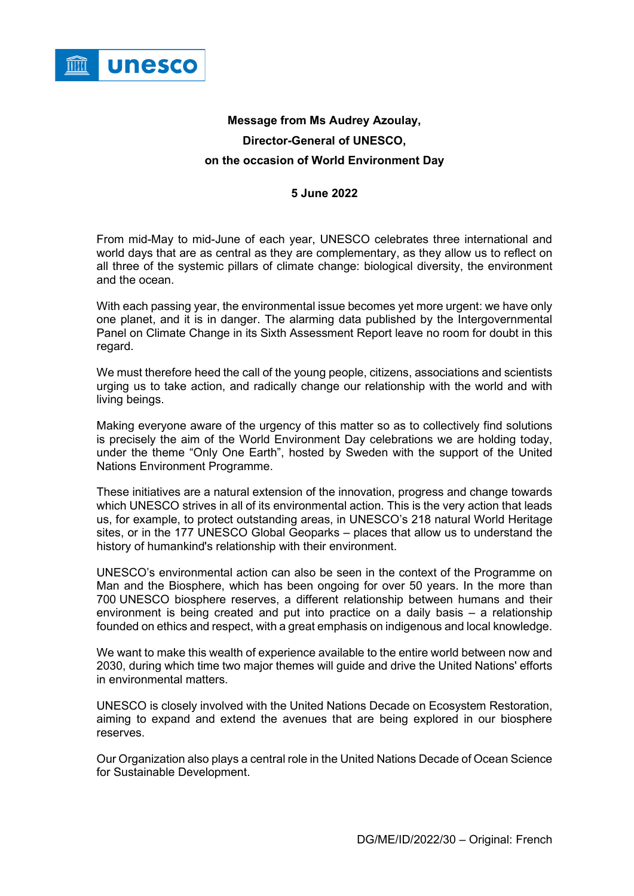

## **Message from Ms Audrey Azoulay, Director-General of UNESCO, on the occasion of World Environment Day**

## **5 June 2022**

From mid-May to mid-June of each year, UNESCO celebrates three international and world days that are as central as they are complementary, as they allow us to reflect on all three of the systemic pillars of climate change: biological diversity, the environment and the ocean.

With each passing year, the environmental issue becomes yet more urgent: we have only one planet, and it is in danger. The alarming data published by the Intergovernmental Panel on Climate Change in its Sixth Assessment Report leave no room for doubt in this regard.

We must therefore heed the call of the young people, citizens, associations and scientists urging us to take action, and radically change our relationship with the world and with living beings.

Making everyone aware of the urgency of this matter so as to collectively find solutions is precisely the aim of the World Environment Day celebrations we are holding today, under the theme "Only One Earth", hosted by Sweden with the support of the United Nations Environment Programme.

These initiatives are a natural extension of the innovation, progress and change towards which UNESCO strives in all of its environmental action. This is the very action that leads us, for example, to protect outstanding areas, in UNESCO's 218 natural World Heritage sites, or in the 177 UNESCO Global Geoparks – places that allow us to understand the history of humankind's relationship with their environment.

UNESCO's environmental action can also be seen in the context of the Programme on Man and the Biosphere, which has been ongoing for over 50 years. In the more than 700 UNESCO biosphere reserves, a different relationship between humans and their environment is being created and put into practice on a daily basis – a relationship founded on ethics and respect, with a great emphasis on indigenous and local knowledge.

We want to make this wealth of experience available to the entire world between now and 2030, during which time two major themes will guide and drive the United Nations' efforts in environmental matters.

UNESCO is closely involved with the United Nations Decade on Ecosystem Restoration, aiming to expand and extend the avenues that are being explored in our biosphere reserves.

Our Organization also plays a central role in the United Nations Decade of Ocean Science for Sustainable Development.